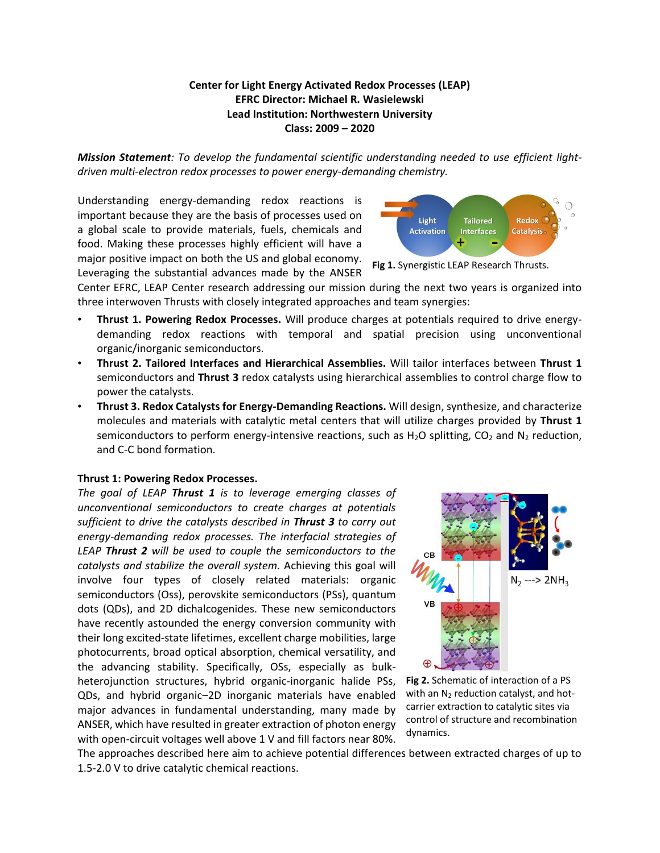## **Center for Light Energy Activated Redox Processes (LEAP) EFRC Director: Michael R. Wasielewski Lead Institution: Northwestern University Class: 2009 – 2020**

*Mission Statement: To develop the fundamental scientific understanding needed to use efficient lightdriven multi-electron redox processes to power energy-demanding chemistry.*

Understanding energy-demanding redox reactions is important because they are the basis of processes used on a global scale to provide materials, fuels, chemicals and food. Making these processes highly efficient will have a major positive impact on both the US and global economy. Leveraging the substantial advances made by the ANSER



**Fig 1.** Synergistic LEAP Research Thrusts.

Center EFRC, LEAP Center research addressing our mission during the next two years is organized into three interwoven Thrusts with closely integrated approaches and team synergies:

- **Thrust 1. Powering Redox Processes.** Will produce charges at potentials required to drive energydemanding redox reactions with temporal and spatial precision using unconventional organic/inorganic semiconductors.
- **Thrust 2. Tailored Interfaces and Hierarchical Assemblies.** Will tailor interfaces between **Thrust 1** semiconductors and **Thrust 3** redox catalysts using hierarchical assemblies to control charge flow to power the catalysts.
- **Thrust 3. Redox Catalysts for Energy-Demanding Reactions.** Will design, synthesize, and characterize molecules and materials with catalytic metal centers that will utilize charges provided by **Thrust 1** semiconductors to perform energy-intensive reactions, such as  $H_2O$  splitting,  $CO_2$  and  $N_2$  reduction, and C-C bond formation.

## **Thrust 1: Powering Redox Processes.**

*The goal of LEAP Thrust 1 is to leverage emerging classes of unconventional semiconductors to create charges at potentials sufficient to drive the catalysts described in Thrust 3 to carry out energy-demanding redox processes. The interfacial strategies of LEAP Thrust 2 will be used to couple the semiconductors to the catalysts and stabilize the overall system.* Achieving this goal will involve four types of closely related materials: organic semiconductors (Oss), perovskite semiconductors (PSs), quantum dots (QDs), and 2D dichalcogenides. These new semiconductors have recently astounded the energy conversion community with their long excited-state lifetimes, excellent charge mobilities, large photocurrents, broad optical absorption, chemical versatility, and the advancing stability. Specifically, OSs, especially as bulkheterojunction structures, hybrid organic-inorganic halide PSs, QDs, and hybrid organic–2D inorganic materials have enabled major advances in fundamental understanding, many made by ANSER, which have resulted in greater extraction of photon energy with open-circuit voltages well above 1 V and fill factors near 80%.



**Fig 2.** Schematic of interaction of a PS with an  $N_2$  reduction catalyst, and hotcarrier extraction to catalytic sites via control of structure and recombination dynamics.

The approaches described here aim to achieve potential differences between extracted charges of up to 1.5-2.0 V to drive catalytic chemical reactions.